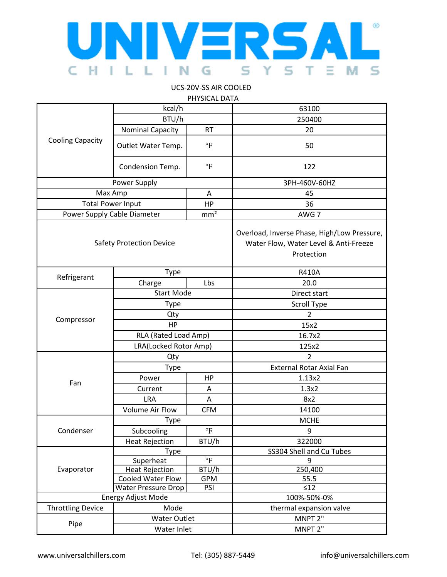

## UCS-20V-SS AIR COOLED PHYSICAL DATA

|                                 |                         | PHYSICAL DATA           |                                                                                                    |
|---------------------------------|-------------------------|-------------------------|----------------------------------------------------------------------------------------------------|
| <b>Cooling Capacity</b>         | kcal/h                  |                         | 63100                                                                                              |
|                                 | BTU/h                   |                         | 250400                                                                                             |
|                                 | <b>Nominal Capacity</b> | <b>RT</b>               | 20                                                                                                 |
|                                 | Outlet Water Temp.      | $\mathrm{P}$            | 50                                                                                                 |
|                                 | Condension Temp.        | $\circ$ F               | 122                                                                                                |
| Power Supply                    |                         |                         | 3PH-460V-60HZ                                                                                      |
| Max Amp                         |                         | Α                       | 45                                                                                                 |
| <b>Total Power Input</b>        |                         | HP                      | 36                                                                                                 |
| Power Supply Cable Diameter     |                         | mm <sup>2</sup>         | AWG 7                                                                                              |
| <b>Safety Protection Device</b> |                         |                         | Overload, Inverse Phase, High/Low Pressure,<br>Water Flow, Water Level & Anti-Freeze<br>Protection |
| Refrigerant                     | Type                    |                         | <b>R410A</b>                                                                                       |
|                                 | Charge                  | Lbs                     | 20.0                                                                                               |
|                                 | <b>Start Mode</b>       |                         | Direct start                                                                                       |
|                                 | Type                    |                         | <b>Scroll Type</b>                                                                                 |
|                                 | Qty                     |                         | $\overline{2}$                                                                                     |
| Compressor                      | HP                      |                         | 15x2                                                                                               |
|                                 | RLA (Rated Load Amp)    |                         | 16.7x2                                                                                             |
|                                 | LRA(Locked Rotor Amp)   |                         | 125x2                                                                                              |
|                                 | Qty                     |                         | $\mathcal{P}$                                                                                      |
|                                 | Type                    |                         | <b>External Rotar Axial Fan</b>                                                                    |
|                                 | Power                   | HP                      | 1.13x2                                                                                             |
| Fan                             | Current                 | A                       | 1.3x2                                                                                              |
|                                 | <b>LRA</b>              | Α                       | 8x2                                                                                                |
|                                 | <b>Volume Air Flow</b>  | <b>CFM</b>              | 14100                                                                                              |
| Condenser                       | Type                    |                         | <b>MCHE</b>                                                                                        |
|                                 | Subcooling              | $\mathrm{P}$            | 9                                                                                                  |
|                                 | <b>Heat Rejection</b>   | BTU/h                   | 322000                                                                                             |
|                                 | Type                    |                         | SS304 Shell and Cu Tubes                                                                           |
| Evaporator                      | Superheat               | $\overline{\mathrm{F}}$ | 9                                                                                                  |
|                                 | <b>Heat Rejection</b>   | BTU/h                   | 250,400                                                                                            |
|                                 | Cooled Water Flow       | <b>GPM</b>              | 55.5                                                                                               |
|                                 | Water Pressure Drop     | PSI                     | $\leq 12$                                                                                          |
| Energy Adjust Mode              |                         | 100%-50%-0%             |                                                                                                    |
| <b>Throttling Device</b>        | Mode                    |                         | thermal expansion valve                                                                            |
| Pipe                            | <b>Water Outlet</b>     |                         | MNPT 2"                                                                                            |
|                                 | Water Inlet             |                         | MNPT 2"                                                                                            |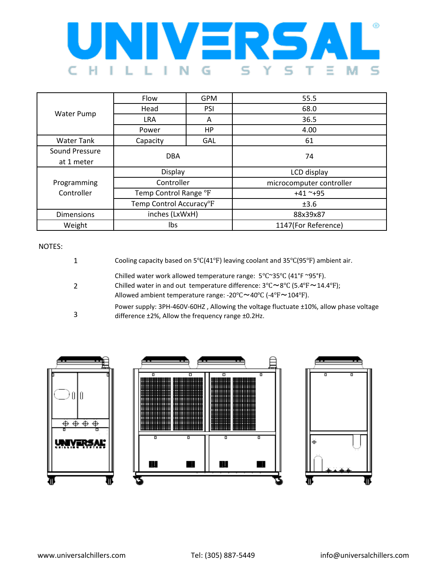

| Water Pump        | Flow                                 | <b>GPM</b> | 55.5                     |
|-------------------|--------------------------------------|------------|--------------------------|
|                   | Head                                 | <b>PSI</b> | 68.0                     |
|                   | <b>LRA</b>                           | A          | 36.5                     |
|                   | Power                                | HP         | 4.00                     |
| <b>Water Tank</b> | Capacity                             | GAL        | 61                       |
| Sound Pressure    | <b>DBA</b>                           |            | 74                       |
| at 1 meter        |                                      |            |                          |
|                   | Display                              |            | LCD display              |
| Programming       | Controller<br>Temp Control Range °F  |            | microcomputer controller |
| Controller        |                                      |            | $+41$ ~+95               |
|                   | Temp Control Accuracy <sup>o</sup> F |            | ±3.6                     |
| <b>Dimensions</b> | inches (LxWxH)                       |            | 88x39x87                 |
| Weight            | lbs                                  |            | 1147(For Reference)      |

## NOTES:

| Cooling capacity based on $5^{\circ}C(41^{\circ}F)$ leaving coolant and $35^{\circ}C(95^{\circ}F)$ ambient air.                                                                                                                                                                                                                                                    |
|--------------------------------------------------------------------------------------------------------------------------------------------------------------------------------------------------------------------------------------------------------------------------------------------------------------------------------------------------------------------|
| Chilled water work allowed temperature range: $5^{\circ}$ C $\sim$ 35 $^{\circ}$ C (41 $^{\circ}$ F $\sim$ 95 $^{\circ}$ F).<br>Chilled water in and out temperature difference: $3^{\circ}$ C $\sim$ $8^{\circ}$ C (5.4 $^{\circ}$ F $\sim$ 14.4 $^{\circ}$ F);<br>Allowed ambient temperature range: $-20^{\circ}$ C $\sim$ 40°C ( $-4^{\circ}$ F $\sim$ 104°F). |
| Power supply: 3PH-460V-60HZ, Allowing the voltage fluctuate ±10%, allow phase voltage<br>difference ±2%, Allow the frequency range ±0.2Hz.                                                                                                                                                                                                                         |